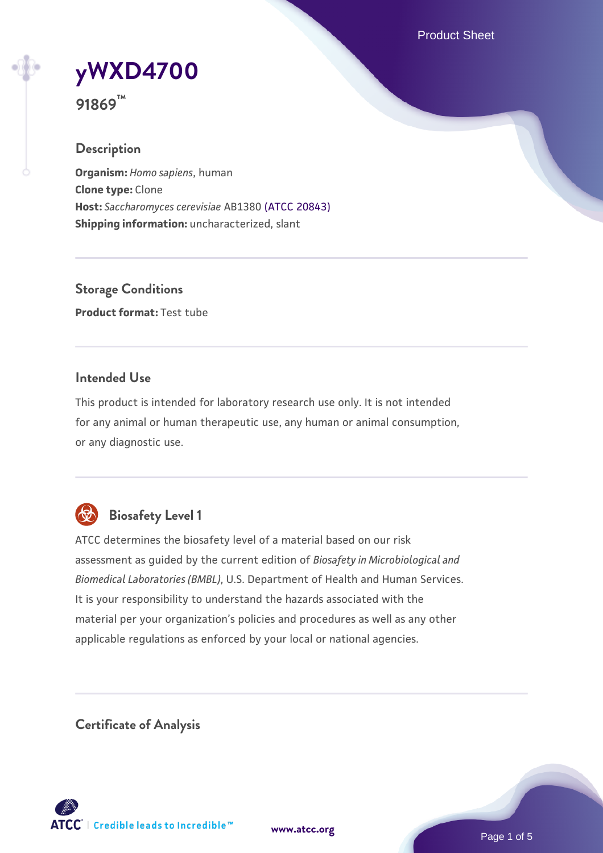Product Sheet



**91869™**

### **Description**

**Organism:** *Homo sapiens*, human **Clone type:** Clone **Host:** *Saccharomyces cerevisiae* AB1380 [\(ATCC 20843\)](https://www.atcc.org/products/20843) **Shipping information:** uncharacterized, slant

**Storage Conditions Product format:** Test tube

#### **Intended Use**

This product is intended for laboratory research use only. It is not intended for any animal or human therapeutic use, any human or animal consumption, or any diagnostic use.



# **Biosafety Level 1**

ATCC determines the biosafety level of a material based on our risk assessment as guided by the current edition of *Biosafety in Microbiological and Biomedical Laboratories (BMBL)*, U.S. Department of Health and Human Services. It is your responsibility to understand the hazards associated with the material per your organization's policies and procedures as well as any other applicable regulations as enforced by your local or national agencies.

**Certificate of Analysis**

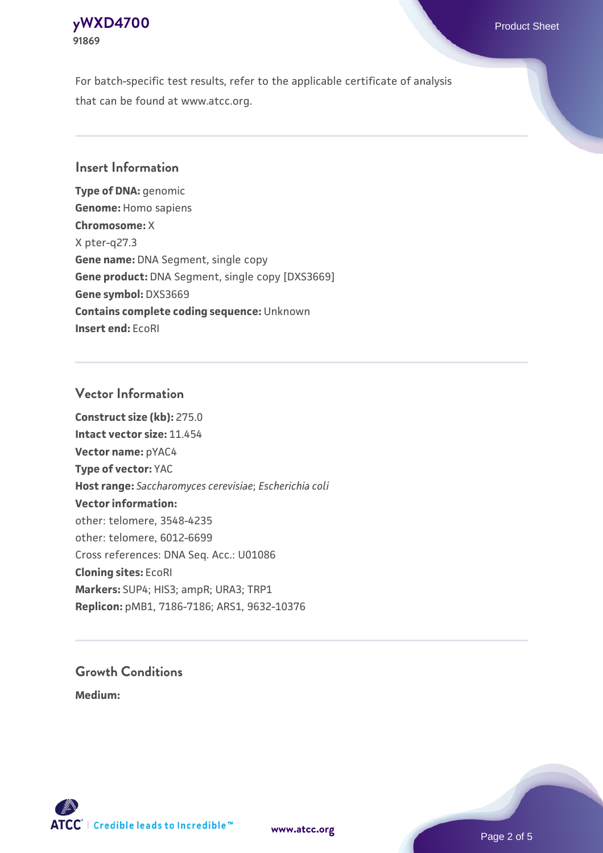#### **[yWXD4700](https://www.atcc.org/products/91869)** Product Sheet **91869**

For batch-specific test results, refer to the applicable certificate of analysis that can be found at www.atcc.org.

### **Insert Information**

**Type of DNA:** genomic **Genome:** Homo sapiens **Chromosome:** X X pter-q27.3 **Gene name:** DNA Segment, single copy **Gene product:** DNA Segment, single copy [DXS3669] **Gene symbol:** DXS3669 **Contains complete coding sequence:** Unknown **Insert end:** EcoRI

#### **Vector Information**

**Construct size (kb):** 275.0 **Intact vector size:** 11.454 **Vector name:** pYAC4 **Type of vector:** YAC **Host range:** *Saccharomyces cerevisiae*; *Escherichia coli* **Vector information:** other: telomere, 3548-4235 other: telomere, 6012-6699 Cross references: DNA Seq. Acc.: U01086 **Cloning sites:** EcoRI **Markers:** SUP4; HIS3; ampR; URA3; TRP1 **Replicon:** pMB1, 7186-7186; ARS1, 9632-10376

# **Growth Conditions**

**Medium:** 



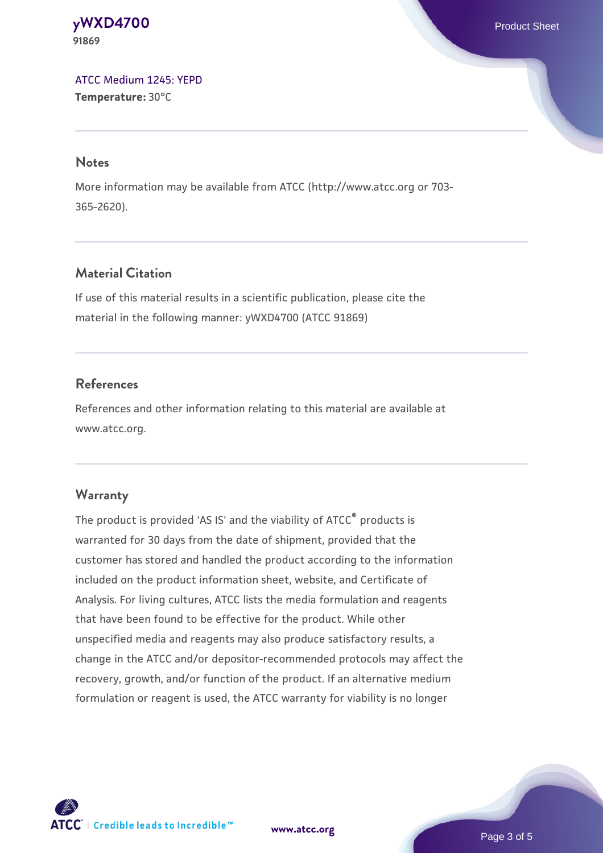**[yWXD4700](https://www.atcc.org/products/91869)** Product Sheet **91869**

[ATCC Medium 1245: YEPD](https://www.atcc.org/-/media/product-assets/documents/microbial-media-formulations/1/2/4/5/atcc-medium-1245.pdf?rev=705ca55d1b6f490a808a965d5c072196) **Temperature:** 30°C

#### **Notes**

More information may be available from ATCC (http://www.atcc.org or 703- 365-2620).

### **Material Citation**

If use of this material results in a scientific publication, please cite the material in the following manner: yWXD4700 (ATCC 91869)

#### **References**

References and other information relating to this material are available at www.atcc.org.

#### **Warranty**

The product is provided 'AS IS' and the viability of ATCC® products is warranted for 30 days from the date of shipment, provided that the customer has stored and handled the product according to the information included on the product information sheet, website, and Certificate of Analysis. For living cultures, ATCC lists the media formulation and reagents that have been found to be effective for the product. While other unspecified media and reagents may also produce satisfactory results, a change in the ATCC and/or depositor-recommended protocols may affect the recovery, growth, and/or function of the product. If an alternative medium formulation or reagent is used, the ATCC warranty for viability is no longer

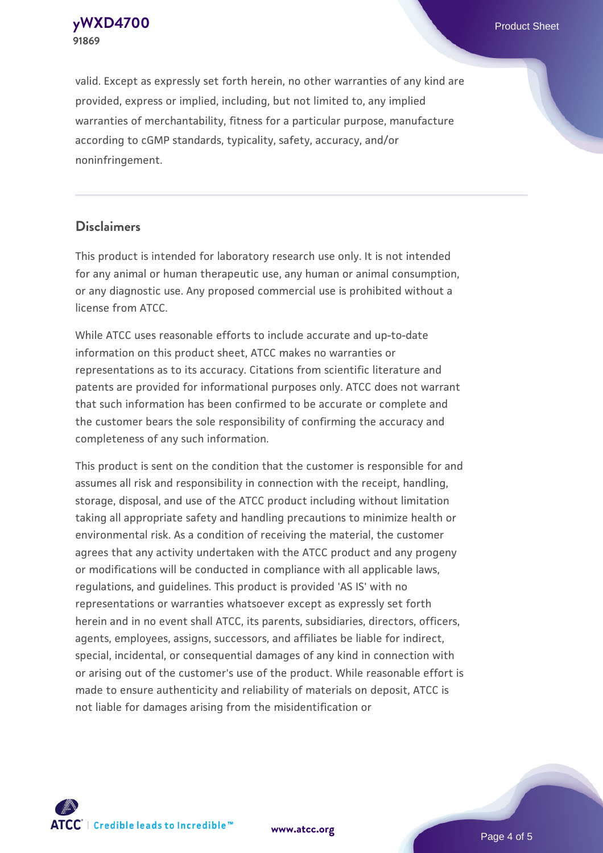**91869**

**[yWXD4700](https://www.atcc.org/products/91869)** Product Sheet

valid. Except as expressly set forth herein, no other warranties of any kind are provided, express or implied, including, but not limited to, any implied warranties of merchantability, fitness for a particular purpose, manufacture according to cGMP standards, typicality, safety, accuracy, and/or noninfringement.

#### **Disclaimers**

This product is intended for laboratory research use only. It is not intended for any animal or human therapeutic use, any human or animal consumption, or any diagnostic use. Any proposed commercial use is prohibited without a license from ATCC.

While ATCC uses reasonable efforts to include accurate and up-to-date information on this product sheet, ATCC makes no warranties or representations as to its accuracy. Citations from scientific literature and patents are provided for informational purposes only. ATCC does not warrant that such information has been confirmed to be accurate or complete and the customer bears the sole responsibility of confirming the accuracy and completeness of any such information.

This product is sent on the condition that the customer is responsible for and assumes all risk and responsibility in connection with the receipt, handling, storage, disposal, and use of the ATCC product including without limitation taking all appropriate safety and handling precautions to minimize health or environmental risk. As a condition of receiving the material, the customer agrees that any activity undertaken with the ATCC product and any progeny or modifications will be conducted in compliance with all applicable laws, regulations, and guidelines. This product is provided 'AS IS' with no representations or warranties whatsoever except as expressly set forth herein and in no event shall ATCC, its parents, subsidiaries, directors, officers, agents, employees, assigns, successors, and affiliates be liable for indirect, special, incidental, or consequential damages of any kind in connection with or arising out of the customer's use of the product. While reasonable effort is made to ensure authenticity and reliability of materials on deposit, ATCC is not liable for damages arising from the misidentification or



**[www.atcc.org](http://www.atcc.org)**

Page 4 of 5